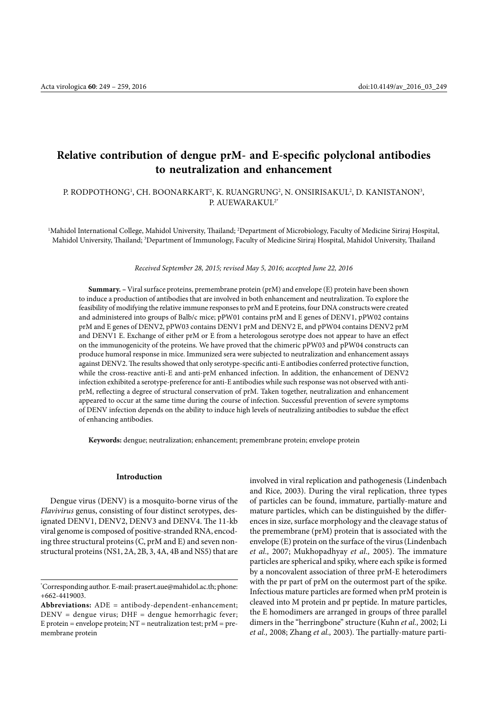# **Relative contribution of dengue prM- and E-specific polyclonal antibodies to neutralization and enhancement**

### P. RODPOTHONG', CH. BOONARKART<sup>2</sup>, K. RUANGRUNG<sup>2</sup>, N. ONSIRISAKUL<sup>2</sup>, D. KANISTANON<sup>3</sup>, P. AUEWARAKUL2\*

<sup>1</sup>Mahidol International College, Mahidol University, Thailand; <sup>2</sup>Department of Microbiology, Faculty of Medicine Siriraj Hospital, Mahidol University, Thailand; <sup>3</sup>Department of Immunology, Faculty of Medicine Siriraj Hospital, Mahidol University, Thailand

#### *Received September 28, 2015; revised May 5, 2016; accepted June 22, 2016*

**Summary. –** Viral surface proteins, premembrane protein (prM) and envelope (E) protein have been shown to induce a production of antibodies that are involved in both enhancement and neutralization. To explore the feasibility of modifying the relative immune responses to prM and E proteins, four DNA constructs were created and administered into groups of Balb/c mice; pPW01 contains prM and E genes of DENV1, pPW02 contains prM and E genes of DENV2, pPW03 contains DENV1 prM and DENV2 E, and pPW04 contains DENV2 prM and DENV1 E. Exchange of either prM or E from a heterologous serotype does not appear to have an effect on the immunogenicity of the proteins. We have proved that the chimeric pPW03 and pPW04 constructs can produce humoral response in mice. Immunized sera were subjected to neutralization and enhancement assays against DENV2. The results showed that only serotype-specific anti-E antibodies conferred protective function, while the cross-reactive anti-E and anti-prM enhanced infection. In addition, the enhancement of DENV2 infection exhibited a serotype-preference for anti-E antibodies while such response was not observed with antiprM, reflecting a degree of structural conservation of prM. Taken together, neutralization and enhancement appeared to occur at the same time during the course of infection. Successful prevention of severe symptoms of DENV infection depends on the ability to induce high levels of neutralizing antibodies to subdue the effect of enhancing antibodies.

**Keywords:** dengue; neutralization; enhancement; premembrane protein; envelope protein

### **Introduction**

Dengue virus (DENV) is a mosquito-borne virus of the *Flavivirus* genus, consisting of four distinct serotypes, designated DENV1, DENV2, DENV3 and DENV4. The 11-kb viral genome is composed of positive-stranded RNA, encoding three structural proteins (C, prM and E) and seven nonstructural proteins (NS1, 2A, 2B, 3, 4A, 4B and NS5) that are involved in viral replication and pathogenesis (Lindenbach and Rice, 2003). During the viral replication, three types of particles can be found, immature, partially-mature and mature particles, which can be distinguished by the differences in size, surface morphology and the cleavage status of the premembrane (prM) protein that is associated with the envelope (E) protein on the surface of the virus (Lindenbach *et al.,* 2007; Mukhopadhyay *et al.,* 2005). The immature particles are spherical and spiky, where each spike is formed by a noncovalent association of three prM-E heterodimers with the pr part of prM on the outermost part of the spike. Infectious mature particles are formed when prM protein is cleaved into M protein and pr peptide. In mature particles, the E homodimers are arranged in groups of three parallel dimers in the "herringbone" structure (Kuhn *et al.,* 2002; Li *et al.,* 2008; Zhang *et al.,* 2003). The partially-mature parti-

<sup>\*</sup> Corresponding author. E-mail: [prasert.aue@mahidol.ac.th](mailto:prasert.aue@mahidol.ac.th); phone: +662-4419003.

**Abbreviations:** ADE = antibody-dependent-enhancement;  $DENV =$  dengue virus;  $DHF =$  dengue hemorrhagic fever; E protein = envelope protein;  $NT$  = neutralization test;  $prM$  = premembrane protein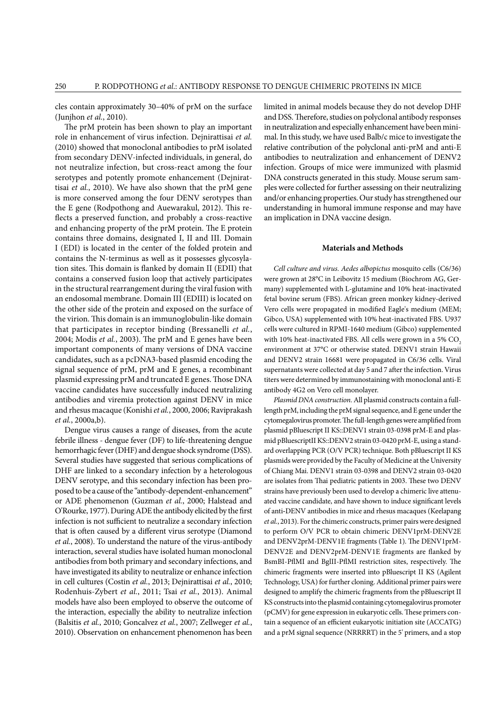cles contain approximately 30–40% of prM on the surface (Junjhon *et al.*, 2010).

The prM protein has been shown to play an important role in enhancement of virus infection. Dejnirattisai *et al.*  (2010) showed that monoclonal antibodies to prM isolated from secondary DENV-infected individuals, in general, do not neutralize infection, but cross-react among the four serotypes and potently promote enhancement (Dejnirattisai *et al.*, 2010). We have also shown that the prM gene is more conserved among the four DENV serotypes than the E gene (Rodpothong and Auewarakul, 2012). This reflects a preserved function, and probably a cross-reactive and enhancing property of the prM protein. The E protein contains three domains, designated I, II and III. Domain I (EDI) is located in the center of the folded protein and contains the N-terminus as well as it possesses glycosylation sites. This domain is flanked by domain II (EDII) that contains a conserved fusion loop that actively participates in the structural rearrangement during the viral fusion with an endosomal membrane. Domain III (EDIII) is located on the other side of the protein and exposed on the surface of the virion. This domain is an immunoglobulin-like domain that participates in receptor binding (Bressanelli *et al.*, 2004; Modis *et al.*, 2003). The prM and E genes have been important components of many versions of DNA vaccine candidates, such as a pcDNA3-based plasmid encoding the signal sequence of prM, prM and E genes, a recombinant plasmid expressing prM and truncated E genes. Those DNA vaccine candidates have successfully induced neutralizing antibodies and viremia protection against DENV in mice and rhesus macaque (Konishi *et al.*, 2000, 2006; Raviprakash *et al.*, 2000a,b).

Dengue virus causes a range of diseases, from the acute febrile illness - dengue fever (DF) to life-threatening dengue hemorrhagic fever (DHF) and dengue shock syndrome (DSS). Several studies have suggested that serious complications of DHF are linked to a secondary infection by a heterologous DENV serotype, and this secondary infection has been proposed to be a cause of the "antibody-dependent-enhancement" or ADE phenomenon (Guzman *et al.*, 2000; Halstead and O'Rourke, 1977). During ADE the antibody elicited by the first infection is not sufficient to neutralize a secondary infection that is often caused by a different virus serotype (Diamond *et al.*, 2008). To understand the nature of the virus-antibody interaction, several studies have isolated human monoclonal antibodies from both primary and secondary infections, and have investigated its ability to neutralize or enhance infection in cell cultures (Costin *et al.*, 2013; Dejnirattisai *et al.*, 2010; Rodenhuis-Zybert *et al.*, 2011; Tsai *et al.*, 2013). Animal models have also been employed to observe the outcome of the interaction, especially the ability to neutralize infection (Balsitis *et al.*, 2010; Goncalvez *et al.*, 2007; Zellweger *et al.*, 2010). Observation on enhancement phenomenon has been

limited in animal models because they do not develop DHF and DSS. Therefore, studies on polyclonal antibody responses in neutralization and especially enhancement have been minimal. In this study, we have used Balb/c mice to investigate the relative contribution of the polyclonal anti-prM and anti-E antibodies to neutralization and enhancement of DENV2 infection. Groups of mice were immunized with plasmid DNA constructs generated in this study. Mouse serum samples were collected for further assessing on their neutralizing and/or enhancing properties. Our study has strengthened our understanding in humoral immune response and may have an implication in DNA vaccine design.

#### **Materials and Methods**

*Cell culture and virus. Aedes albopictus* mosquito cells (C6/36) were grown at 28°C in Leibovitz 15 medium (Biochrom AG, Germany) supplemented with L-glutamine and 10% heat-inactivated fetal bovine serum (FBS). African green monkey kidney-derived Vero cells were propagated in modified Eagle's medium (MEM; Gibco, USA) supplemented with 10% heat-inactivated FBS. U937 cells were cultured in RPMI-1640 medium (Gibco) supplemented with 10% heat-inactivated FBS. All cells were grown in a 5%  $CO<sub>2</sub>$ environment at 37°C or otherwise stated. DENV1 strain Hawaii and DENV2 strain 16681 were propagated in C6/36 cells. Viral supernatants were collected at day 5 and 7 after the infection. Virus titers were determined by immunostaining with monoclonal anti-E antibody 4G2 on Vero cell monolayer.

*Plasmid DNA construction.* All plasmid constructs contain a fulllength prM, including the prM signal sequence, and E gene under the cytomegalovirus promoter. The full-length genes were amplified from plasmid pBluescript II KS::DENV1 strain 03-0398 prM-E and plasmid pBluescriptII KS::DENV2 strain 03-0420 prM-E, using a standard overlapping PCR (O/V PCR) technique. Both pBluescript II KS plasmids were provided by the Faculty of Medicine at the University of Chiang Mai. DENV1 strain 03-0398 and DENV2 strain 03-0420 are isolates from Thai pediatric patients in 2003. These two DENV strains have previously been used to develop a chimeric live attenuated vaccine candidate, and have shown to induce significant levels of anti**-**DENV antibodies in mice and rhesus macaques (Keelapang *et al.*, 2013). For the chimeric constructs, primer pairs were designed to perform O/V PCR to obtain chimeric DENV1prM-DENV2E and DENV2prM-DENV1E fragments (Table 1). The DENV1prM-DENV2E and DENV2prM-DENV1E fragments are flanked by BsmBI-PflMI and BglII-PflMI restriction sites, respectively. The chimeric fragments were inserted into pBluescript II KS (Agilent Technology, USA) for further cloning. Additional primer pairs were designed to amplify the chimeric fragments from the pBluescript II KS constructs into the plasmid containing cytomegalovirus promoter (pCMV) for gene expression in eukaryotic cells. These primers contain a sequence of an efficient eukaryotic initiation site (ACCATG) and a prM signal sequence (NRRRRT) in the 5' primers, and a stop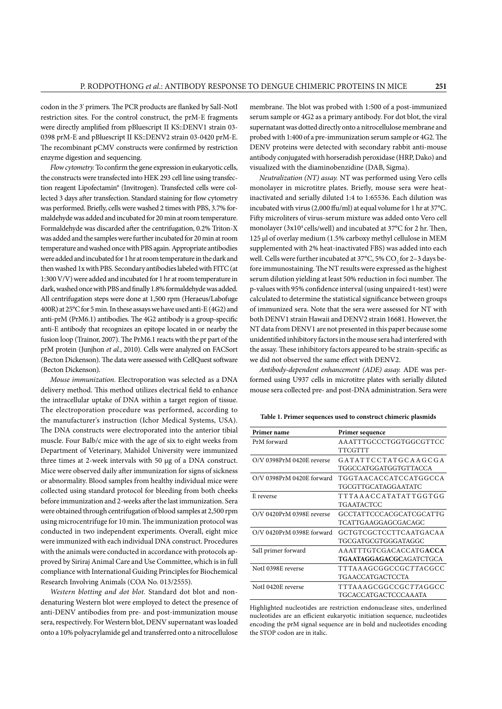codon in the 3' primers. The PCR products are flanked by SalI-NotI restriction sites. For the control construct, the prM-E fragments were directly amplified from pBluescript II KS::DENV1 strain 03- 0398 prM-E and pBluescript II KS::DENV2 strain 03-0420 prM-E. The recombinant pCMV constructs were confirmed by restriction enzyme digestion and sequencing.

*Flow cytometry.* To confirm the gene expression in eukaryotic cells, the constructs were transfected into HEK 293 cell line using transfection reagent Lipofectamin® (Invitrogen). Transfected cells were collected 3 days after transfection. Standard staining for flow cytometry was performed. Briefly, cells were washed 2 times with PBS, 3.7% formaldehyde was added and incubated for 20 min at room temperature. Formaldehyde was discarded after the centrifugation, 0.2% Triton-X was added and the samples were further incubated for 20 min at room temperature and washed once with PBS again. Appropriate antibodies were added and incubated for 1 hr at room temperature in the dark and then washed 1x with PBS. Secondary antibodies labeled with FITC (at 1:300 V/V) were added and incubated for 1 hr at room temperature in dark, washed once with PBS and finally 1.8% formaldehyde was added. All centrifugation steps were done at 1,500 rpm (Heraeus/Labofuge 400R) at 25°C for 5 min. In these assays we have used anti-E (4G2) and anti-prM (PrM6.1) antibodies. The 4G2 antibody is a group-specific anti-E antibody that recognizes an epitope located in or nearby the fusion loop (Trainor, 2007). The PrM6.1 reacts with the pr part of the prM protein (Junjhon *et al.*, 2010). Cells were analyzed on FACSort (Becton Dickenson). The data were assessed with CellQuest software (Becton Dickenson).

*Mouse immunization.* Electroporation was selected as a DNA delivery method. This method utilizes electrical field to enhance the intracellular uptake of DNA within a target region of tissue. The electroporation procedure was performed, according to the manufacturer's instruction (Ichor Medical Systems, USA). The DNA constructs were electroporated into the anterior tibial muscle. Four Balb/c mice with the age of six to eight weeks from Department of Veterinary, Mahidol University were immunized three times at 2-week intervals with 50 µg of a DNA construct. Mice were observed daily after immunization for signs of sickness or abnormality. Blood samples from healthy individual mice were collected using standard protocol for bleeding from both cheeks before immunization and 2-weeks after the last immunization. Sera were obtained through centrifugation of blood samples at 2,500 rpm using microcentrifuge for 10 min. The immunization protocol was conducted in two independent experiments. Overall, eight mice were immunized with each individual DNA construct. Procedures with the animals were conducted in accordance with protocols approved by Siriraj Animal Care and Use Committee, which is in full compliance with International Guiding Principles for Biochemical Research Involving Animals (COA No. 013/2555).

*Western blotting and dot blot.* Standard dot blot and nondenaturing Western blot were employed to detect the presence of anti-DENV antibodies from pre- and post-immunization mouse sera, respectively. For Western blot, DENV supernatant was loaded onto a 10% polyacrylamide gel and transferred onto a nitrocellulose

membrane. The blot was probed with 1:500 of a post-immunized serum sample or 4G2 as a primary antibody. For dot blot, the viral supernatant was dotted directly onto a nitrocellulose membrane and probed with 1:400 of a pre-immunization serum sample or 4G2. The DENV proteins were detected with secondary rabbit anti-mouse antibody conjugated with horseradish peroxidase (HRP, Dako) and visualized with the diaminobenzidine (DAB, Sigma).

*Neutralization (NT) assay.* NT was performed using Vero cells monolayer in microtitre plates. Briefly, mouse sera were heatinactivated and serially diluted 1:4 to 1:65536. Each dilution was incubated with virus (2,000 ffu/ml) at equal volume for 1 hr at 37°C. Fifty microliters of virus-serum mixture was added onto Vero cell monolayer (3x10<sup>4</sup> cells/well) and incubated at 37°C for 2 hr. Then, 125 μl of overlay medium (1.5% carboxy methyl cellulose in MEM supplemented with 2% heat-inactivated FBS) was added into each well. Cells were further incubated at 37°C, 5% CO<sub>2</sub> for 2–3 days before immunostaining. The NT results were expressed as the highest serum dilution yielding at least 50% reduction in foci number. The p-values with 95% confidence interval (using unpaired t-test) were calculated to determine the statistical significance between groups of immunized sera. Note that the sera were assessed for NT with both DENV1 strain Hawaii and DENV2 strain 16681. However, the NT data from DENV1 are not presented in this paper because some unidentified inhibitory factors in the mouse sera had interfered with the assay. These inhibitory factors appeared to be strain-specific as we did not observed the same effect with DENV2.

*Antibody-dependent enhancement (ADE) assay.* ADE was performed using U937 cells in microtitre plates with serially diluted mouse sera collected pre- and post-DNA administration. Sera were

| Table 1. Primer sequences used to construct chimeric plasmids |  |  |
|---------------------------------------------------------------|--|--|
|---------------------------------------------------------------|--|--|

| Primer name               | Primer sequence                 |
|---------------------------|---------------------------------|
| PrM forward               | AAATTTGCCCTGGTGGCGTTCC          |
|                           | <b>TTCGTTT</b>                  |
| O/V 0398PrM 0420E reverse | GATATTCCTATGCAAGCGA             |
|                           | TGGCCATGGATGGTGTTACCA           |
| O/V 0398PrM 0420E forward | TGGTAACACCATCCATGGCCA           |
|                           | TGCGTTGCATAGGA ATATC            |
| E reverse                 | TTTAAACCATATATTGGTGG            |
|                           | TGAATACTCC                      |
| O/V 0420PrM 0398E reverse | GCCTATTCCCACGCATCGCATTG         |
|                           | TCATTGAAGGAGCGACAGC             |
| O/V 0420PrM 0398E forward | GCTGTCGCTCCTTCAATGACAA          |
|                           | TGCGATGCGTGGGATAGGC             |
| SalI primer forward       | AAATTTGTCGACACCATGACCA          |
|                           | <b>TGAATAGGAGACGC</b> AGATCTGCA |
| NotI 0398E reverse        | TTTAAAGCGGCCGCTTACGCC           |
|                           | TGAACCATGACTCCTA                |
| NotI 0420E reverse        | TTTAAAGCGGCCGCTTAGGCC           |
|                           | TGCACCATGACTCCCAAATA            |

Highlighted nucleotides are restriction endonuclease sites, underlined nucleotides are an efficient eukaryotic initiation sequence, nucleotides encoding the prM signal sequence are in bold and nucleotides encoding the STOP codon are in italic.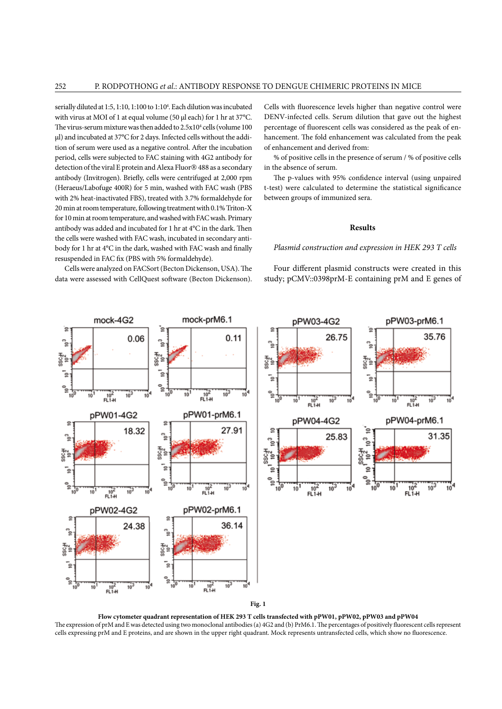serially diluted at 1:5, 1:10, 1:100 to 1:104 . Each dilution was incubated with virus at MOI of 1 at equal volume (50 µl each) for 1 hr at 37°C. The virus-serum mixture was then added to 2.5x10<sup>4</sup> cells (volume 100 ul) and incubated at 37°C for 2 days. Infected cells without the addition of serum were used as a negative control. After the incubation period, cells were subjected to FAC staining with 4G2 antibody for detection of the viral E protein and Alexa Fluor® 488 as a secondary antibody (Invitrogen). Briefly, cells were centrifuged at 2,000 rpm (Heraeus/Labofuge 400R) for 5 min, washed with FAC wash (PBS with 2% heat-inactivated FBS), treated with 3.7% formaldehyde for 20 min at room temperature, following treatment with 0.1% Triton-X for 10 min at room temperature, and washed with FAC wash. Primary antibody was added and incubated for 1 hr at 4°C in the dark. Then the cells were washed with FAC wash, incubated in secondary antibody for 1 hr at 4°C in the dark, washed with FAC wash and finally resuspended in FAC fix (PBS with 5% formaldehyde).

Cells were analyzed on FACSort (Becton Dickenson, USA). The data were assessed with CellQuest software (Becton Dickenson).

Cells with fluorescence levels higher than negative control were DENV-infected cells. Serum dilution that gave out the highest percentage of fluorescent cells was considered as the peak of enhancement. The fold enhancement was calculated from the peak of enhancement and derived from:

% of positive cells in the presence of serum / % of positive cells in the absence of serum.

The p-values with 95% confidence interval (using unpaired t-test) were calculated to determine the statistical significance between groups of immunized sera.

### **Results**

#### *Plasmid construction and expression in HEK 293 T cells*

Four different plasmid constructs were created in this study; pCMV::0398prM-E containing prM and E genes of



**Flow cytometer quadrant representation of HEK 293 T cells transfected with pPW01, pPW02, pPW03 and pPW04** The expression of prM and E was detected using two monoclonal antibodies (a) 4G2 and (b) PrM6.1. The percentages of positively fluorescent cells represent cells expressing prM and E proteins, and are shown in the upper right quadrant. Mock represents untransfected cells, which show no fluorescence.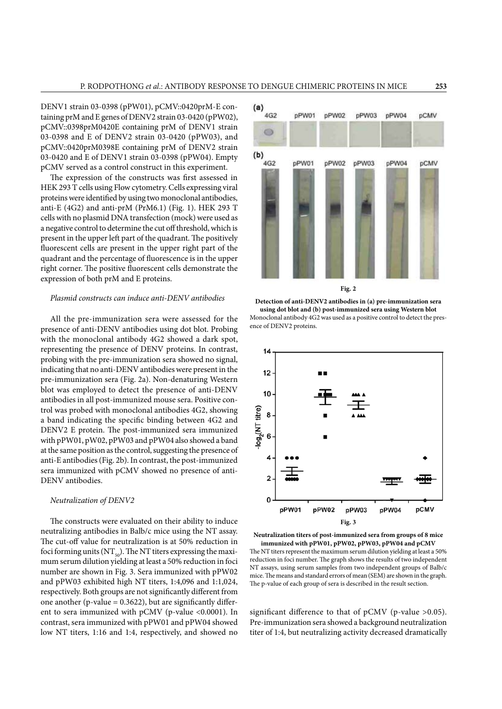DENV1 strain 03-0398 (pPW01), pCMV::0420prM-E containing prM and E genes of DENV2 strain 03-0420 (pPW02), pCMV::0398prM0420E containing prM of DENV1 strain 03-0398 and E of DENV2 strain 03-0420 (pPW03), and pCMV::0420prM0398E containing prM of DENV2 strain 03-0420 and E of DENV1 strain 03-0398 (pPW04). Empty pCMV served as a control construct in this experiment.

The expression of the constructs was first assessed in HEK 293 T cells using Flow cytometry. Cells expressing viral proteins were identified by using two monoclonal antibodies, anti-E (4G2) and anti-prM (PrM6.1) (Fig. 1). HEK 293 T cells with no plasmid DNA transfection (mock) were used as a negative control to determine the cut off threshold, which is present in the upper left part of the quadrant. The positively fluorescent cells are present in the upper right part of the quadrant and the percentage of fluorescence is in the upper right corner. The positive fluorescent cells demonstrate the expression of both prM and E proteins.

## *Plasmid constructs can induce anti-DENV antibodies*

All the pre-immunization sera were assessed for the presence of anti-DENV antibodies using dot blot. Probing with the monoclonal antibody 4G2 showed a dark spot, representing the presence of DENV proteins. In contrast, probing with the pre-immunization sera showed no signal, indicating that no anti-DENV antibodies were present in the pre-immunization sera (Fig. 2a). Non-denaturing Western blot was employed to detect the presence of anti-DENV antibodies in all post-immunized mouse sera. Positive control was probed with monoclonal antibodies 4G2, showing a band indicating the specific binding between 4G2 and DENV2 E protein. The post-immunized sera immunized with pPW01, pW02, pPW03 and pPW04 also showed a band at the same position as the control, suggesting the presence of anti-E antibodies (Fig. 2b). In contrast, the post-immunized sera immunized with pCMV showed no presence of anti-DENV antibodies.

### *Neutralization of DENV2*

The constructs were evaluated on their ability to induce neutralizing antibodies in Balb/c mice using the NT assay. The cut-off value for neutralization is at 50% reduction in foci forming units ( $NT_{50}$ ). The NT titers expressing the maximum serum dilution yielding at least a 50% reduction in foci number are shown in Fig. 3. Sera immunized with pPW02 and pPW03 exhibited high NT titers, 1:4,096 and 1:1,024, respectively. Both groups are not significantly different from one another (p-value  $= 0.3622$ ), but are significantly different to sera immunized with pCMV (p-value <0.0001). In contrast, sera immunized with pPW01 and pPW04 showed low NT titers, 1:16 and 1:4, respectively, and showed no







**Neutralization titers of post-immunized sera from groups of 8 mice immunized with pPW01, pPW02, pPW03, pPW04 and pCMV** The NT titers represent the maximum serum dilution yielding at least a 50% reduction in foci number. The graph shows the results of two independent NT assays, using serum samples from two independent groups of Balb/c

mice. The means and standard errors of mean (SEM) are shown in the graph. The p-value of each group of sera is described in the result section.

significant difference to that of pCMV (p-value >0.05). Pre-immunization sera showed a background neutralization titer of 1:4, but neutralizing activity decreased dramatically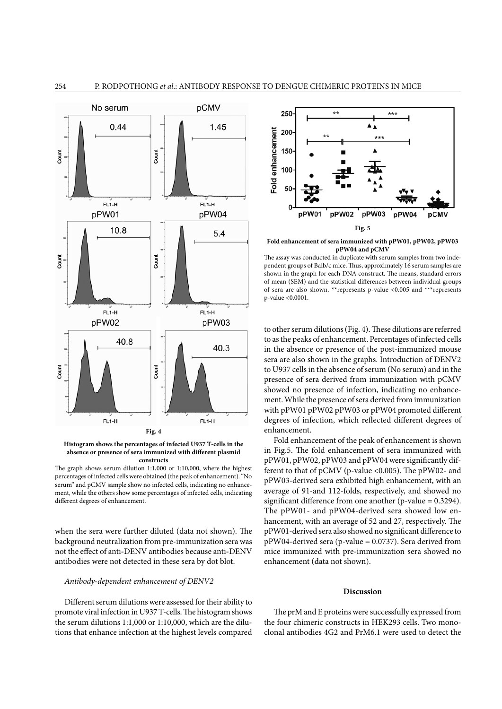

**Histogram shows the percentages of infected U937 T-cells in the absence or presence of sera immunized with different plasmid constructs**

The graph shows serum dilution 1:1,000 or 1:10,000, where the highest percentages of infected cells were obtained (the peak of enhancement). "No serum" and pCMV sample show no infected cells, indicating no enhancement, while the others show some percentages of infected cells, indicating different degrees of enhancement.

when the sera were further diluted (data not shown). The background neutralization from pre-immunization sera was not the effect of anti**-**DENV antibodies because anti**-**DENV antibodies were not detected in these sera by dot blot.

### *Antibody-dependent enhancement of DENV2*

Different serum dilutions were assessed for their ability to promote viral infection in U937 T-cells. The histogram shows the serum dilutions 1:1,000 or 1:10,000, which are the dilutions that enhance infection at the highest levels compared



**Fold enhancement of sera immunized with pPW01, pPW02, pPW03 pPW04 and pCMV**

The assay was conducted in duplicate with serum samples from two independent groups of Balb/c mice. Thus, approximately 16 serum samples are shown in the graph for each DNA construct. The means, standard errors of mean (SEM) and the statistical differences between individual groups of sera are also shown. \*\*represents p-value <0.005 and \*\*\*represents p-value <0.0001.

to other serum dilutions (Fig. 4). These dilutions are referred to as the peaks of enhancement. Percentages of infected cells in the absence or presence of the post-immunized mouse sera are also shown in the graphs. Introduction of DENV2 to U937 cells in the absence of serum (No serum) and in the presence of sera derived from immunization with pCMV showed no presence of infection, indicating no enhancement. While the presence of sera derived from immunization with pPW01 pPW02 pPW03 or pPW04 promoted different degrees of infection, which reflected different degrees of enhancement.

Fold enhancement of the peak of enhancement is shown in Fig.5. The fold enhancement of sera immunized with pPW01, pPW02, pPW03 and pPW04 were significantly different to that of pCMV (p-value <0.005). The pPW02- and pPW03-derived sera exhibited high enhancement, with an average of 91-and 112-folds, respectively, and showed no significant difference from one another (p-value = 0.3294). The pPW01- and pPW04-derived sera showed low enhancement, with an average of 52 and 27, respectively. The pPW01-derived sera also showed no significant difference to pPW04-derived sera (p-value = 0.0737). Sera derived from mice immunized with pre-immunization sera showed no enhancement (data not shown).

#### **Discussion**

The prM and E proteins were successfully expressed from the four chimeric constructs in HEK293 cells. Two monoclonal antibodies 4G2 and PrM6.1 were used to detect the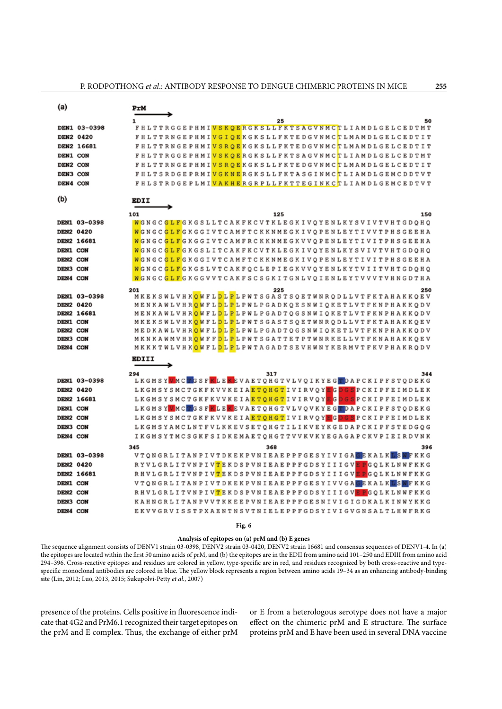| (a)               | PrM                                                                                                                           |
|-------------------|-------------------------------------------------------------------------------------------------------------------------------|
|                   | 25<br>50<br>1.                                                                                                                |
| DEN1 03-0398      | FHLTTRGGEPHMI <mark>VSKOERGKSLLFKTSAGVNMCT</mark> LIAMDLGELCEDTMT                                                             |
| DEN2 0420         | F H L T T R N G E P H M I V G I O E K G K S L L F K T E D G V N M C T L M A M D L G E L C E D T I T                           |
| DEN2 16681        | FHLTTRNGEPHMI <mark>VSROE</mark> KGKSLLFKTEDGVNMCTLMAMDLGELCEDTIT                                                             |
| DEN1 CON          | F H L T T R G G E P H M I <mark>V S K O E</mark> R G K S L L F K T S A G V N M C <mark>T</mark> L I A M D L G E L C E D T M T |
| DEN2 CON          | F H L T T R N G E P H M I V S R O E K G K S L L F K T E D G V N M C T L M A M D L G E L C E D T I T                           |
| DEN3 CON          | FHLTSRDGEPRMI <mark>VGKNE</mark> RGKSLLFKTASGINMCTLIAMDLGEMCDDTVT                                                             |
| DEN4 CON          | FHLSTRDGEPLMI <mark>VAKHE</mark> RGRPLLFKTTEGINKCTLIAMDLGEMCEDTVT                                                             |
| (b)               | <b>EDII</b>                                                                                                                   |
|                   |                                                                                                                               |
|                   | 101<br>125<br>150                                                                                                             |
| DEN1 03-0398      | WGNGCGLFGKGSLLTCAKFKCVTKLEGKIVOYENLKYSVIVTVHTGDOHO                                                                            |
| DEN2 0420         | WGNGCGLFGKGGIVTCAMFTCKKNMEGKIVOPENLEYTIVVTPHSGEEHA                                                                            |
| <b>DEN2 16681</b> | WGNGCGLFGKGGIVTCAMFRCKKNMEGKVVOPENLEYTIVITPHSGEEHA                                                                            |
| <b>DEN1 CON</b>   | WGNGCGLFGKGSLITCAKFKCVTKLEGKIVOYENLKYSVIVTVHTGDOHO                                                                            |
| DEN2 CON          | WGNGCGLFGKGGIVTCAMFTCKKNMEGKIVOPENLEYTIVITPHSGEEHA                                                                            |
| DEN3 CON          | WGNGCGLFGKGSLVTCAKFQCLEPIEGKVVQYENLKYTVIITVHTGDQHQ                                                                            |
| DEN4 CON          | W G N G C G L F G K G G V V T C A K F S C S G K I T G N L V O I E N L E Y T V V V T V H N G D T H A                           |
|                   | 201<br>250<br>225                                                                                                             |
| DEN1 03-0398      | MKEKSWLVHK <mark>Q</mark> WFL <mark>DLP</mark> LPWTSGASTSQETWNRQDLLVTFKTAHAKKQEV                                              |
| DEN2 0420         | MENKAWLVHR <mark>O</mark> WFLDLPLPWLPGADKOESNWIOKETLVTFKNPHAKKODV                                                             |
| DEN2 16681        | MENKAWLVHR <mark>O</mark> WFLDLPLPWLPGADTOGSNWIOKETLVTFKNPHAKKODV                                                             |
| DEN1 CON          | MKEKSWLVHK <mark>OWFLDLPL</mark> PWTSGASTSOETWNRODLLVTFKTAHAKKOEV                                                             |
| DEN2 CON          | MEDKAWLVHR <mark>O</mark> WFLDLPLPWLPGADTOGSNWIOKETLVTFKNPHAKKODV                                                             |
| DEN3 CON          | M K N K A W M V H R <mark>O</mark> W F F <mark>D</mark> L P W T S G A T T E T P T W N R K E L L V T F K N A H A K K O E V     |
| DEN4 CON          | MKKKTWLVHK <mark>OWFLDLP</mark> LPWTAGADTSEVHWNYKERMVTFKVPHAKRODV                                                             |
|                   | <b>EDIII</b>                                                                                                                  |
|                   | 294<br>317<br>344                                                                                                             |
| DEN1 03-0398      | LKGMSYMMCTGSFKLEKEVAETOHGTVLVOIKYEGTDAPCKIPFSTODEKG                                                                           |
| DEN2 0420         | LKGMSYSMCTGKFKVVKEIA <mark>ETQHGT</mark> IVIRVQY <mark>EGDGS</mark> PCKIPFEIMDLEK                                             |
| DEN2 16681        | L K G M S Y S M C T G K F K V V K E I A E T Q H G T I V I R V Q Y E G D G S P C K I P F E I M D L E K                         |
| DEN1 CON          | LKGMSY <mark>V</mark> MCTGSF <mark>KLEK</mark> EVAETQHGTVLVQVKYEG <b>TO</b> DAPCKIPFSTQDEKG                                   |
| DEN2 CON          | L K G M S Y S M C T G K F K V V K E I A <mark>E T Q H G T</mark> I V I R V Q Y E G D G S P C K I P F E I M D L E K            |
| DEN3 CON          | LKGMSYAMCLNTFVLKKEVSETQHGTILIKVEYKGEDAPCKIPFSTEDGQG                                                                           |
| DEN4 CON          | I K G M S Y T M C S G K F S I D K E M A E T O H G T T V V K V K Y E G A G A P C K V P I E I R D V N K                         |
|                   | 345<br>396<br>368                                                                                                             |
| DEN1 03-0398      | V T Q N G R L I T A N P I V T D K E K P V N I E A E P P F G E S Y I V I G A G E K A L K L S M F K K G                         |
| DEN2 0420         | RYVLGRLITVNPIV <mark>T</mark> EKDSPVNIEAEPPFGDSYIIIGV <mark>EP</mark> GOLKLNWFKKG                                             |
| DEN2 16681        | RHVLGRLITVNPIV <mark>T</mark> EKDSPVNIEAEPPFGDSYIIIGV <mark>EP</mark> GOLKLNWFKKG                                             |
| DEN1 CON          | V T O N G R L I T A N P I V T D K E K P V N I E A E P P F G E S Y I V V G A G E K A L K L S M F K K G                         |
| DEN2 CON          | RHVLGRLITVNPIV <mark>T</mark> EKDSPVNIEAEPPFGDSYIIIGV <mark>EP</mark> GOLKLNWFKKG                                             |
| DEN3 CON          | KAHNGRLITAN PVVTKKEEPVNIEAEPPFGESNIVIGIGDKALKINWYKKG                                                                          |
| DEN4 CON          | EKVVGRVISSTPXAENTNSVTNIELEPPFGDSYIVIGVGNSALTLHWFRKG                                                                           |
|                   |                                                                                                                               |

**Fig. 6**

**Analysis of epitopes on (a) prM and (b) E genes**

The sequence alignment consists of DENV1 strain 03-0398, DENV2 strain 03-0420, DENV2 strain 16681 and consensus sequences of DENV1-4. In (a) the epitopes are located within the first 50 amino acids of prM, and (b) the epitopes are in the EDII from amino acid 101–250 and EDIII from amino acid 294–396. Cross-reactive epitopes and residues are colored in yellow, type-specific are in red, and residues recognized by both cross-reactive and typespecific monoclonal antibodies are colored in blue. The yellow block represents a region between amino acids 19–34 as an enhancing antibody-binding site (Lin, 2012; Luo, 2013, 2015; Sukupolvi-Petty *et al.*, 2007)

presence of the proteins. Cells positive in fluorescence indicate that 4G2 and PrM6.1 recognized their target epitopes on the prM and E complex. Thus, the exchange of either prM or E from a heterologous serotype does not have a major effect on the chimeric prM and E structure. The surface proteins prM and E have been used in several DNA vaccine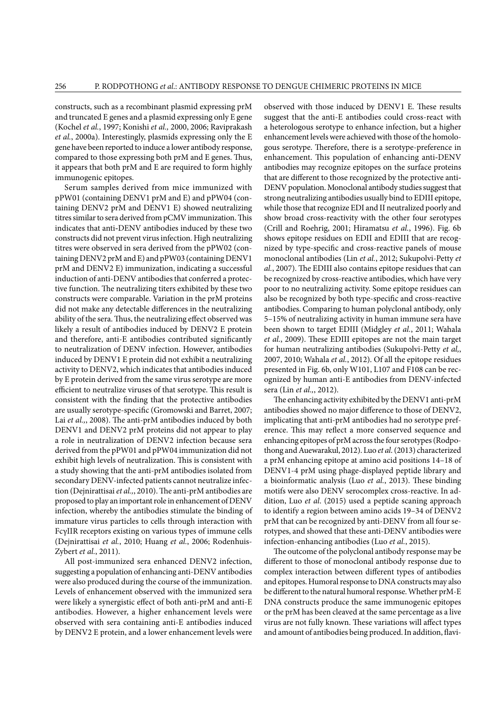constructs, such as a recombinant plasmid expressing prM and truncated E genes and a plasmid expressing only E gene (Kochel *et al.*, 1997; Konishi *et al.,* 2000, 2006; Raviprakash *et al.*, 2000a). Interestingly, plasmids expressing only the E gene have been reported to induce a lower antibody response, compared to those expressing both prM and E genes. Thus, it appears that both prM and E are required to form highly immunogenic epitopes.

Serum samples derived from mice immunized with pPW01 (containing DENV1 prM and E) and pPW04 (containing DENV2 prM and DENV1 E) showed neutralizing titres similar to sera derived from pCMV immunization. This indicates that anti**-**DENV antibodies induced by these two constructs did not prevent virus infection. High neutralizing titres were observed in sera derived from the pPW02 (containing DENV2 prM and E) and pPW03 (containing DENV1 prM and DENV2 E) immunization, indicating a successful induction of anti-DENV antibodies that conferred a protective function. The neutralizing titers exhibited by these two constructs were comparable. Variation in the prM proteins did not make any detectable differences in the neutralizing ability of the sera. Thus, the neutralizing effect observed was likely a result of antibodies induced by DENV2 E protein and therefore, anti-E antibodies contributed significantly to neutralization of DENV infection. However, antibodies induced by DENV1 E protein did not exhibit a neutralizing activity to DENV2, which indicates that antibodies induced by E protein derived from the same virus serotype are more efficient to neutralize viruses of that serotype. This result is consistent with the finding that the protective antibodies are usually serotype-specific (Gromowski and Barret, 2007; Lai *et al.,*, 2008). The anti-prM antibodies induced by both DENV1 and DENV2 prM proteins did not appear to play a role in neutralization of DENV2 infection because sera derived from the pPW01 and pPW04 immunization did not exhibit high levels of neutralization. This is consistent with a study showing that the anti-prM antibodies isolated from secondary DENV-infected patients cannot neutralize infection (Dejnirattisai *et al.,*, 2010). The anti-prM antibodies are proposed to play an important role in enhancement of DENV infection, whereby the antibodies stimulate the binding of immature virus particles to cells through interaction with FcγIIR receptors existing on various types of immune cells (Dejnirattisai *et al.*, 2010; Huang *et al.*, 2006; Rodenhuis-Zybert *et al.*, 2011).

All post-immunized sera enhanced DENV2 infection, suggesting a population of enhancing anti-DENV antibodies were also produced during the course of the immunization. Levels of enhancement observed with the immunized sera were likely a synergistic effect of both anti-prM and anti-E antibodies. However, a higher enhancement levels were observed with sera containing anti-E antibodies induced by DENV2 E protein, and a lower enhancement levels were

observed with those induced by DENV1 E. These results suggest that the anti-E antibodies could cross-react with a heterologous serotype to enhance infection, but a higher enhancement levels were achieved with those of the homologous serotype. Therefore, there is a serotype-preference in enhancement. This population of enhancing anti**-**DENV antibodies may recognize epitopes on the surface proteins that are different to those recognized by the protective anti**-**DENV population. Monoclonal antibody studies suggest that strong neutralizing antibodies usually bind to EDIII epitope, while those that recognize EDI and II neutralized poorly and show broad cross-reactivity with the other four serotypes (Crill and Roehrig, 2001; Hiramatsu *et al.*, 1996). Fig. 6b shows epitope residues on EDII and EDIII that are recognized by type-specific and cross-reactive panels of mouse monoclonal antibodies (Lin *et al.*, 2012; Sukupolvi-Petty *et al.*, 2007). The EDIII also contains epitope residues that can be recognized by cross-reactive antibodies, which have very poor to no neutralizing activity. Some epitope residues can also be recognized by both type-specific and cross-reactive antibodies. Comparing to human polyclonal antibody, only 5–15% of neutralizing activity in human immune sera have been shown to target EDIII (Midgley *et al.*, 2011; Wahala *et al.*, 2009). These EDIII epitopes are not the main target for human neutralizing antibodies (Sukupolvi-Petty *et al,*, 2007, 2010; Wahala *et al.*, 2012). Of all the epitope residues presented in Fig. 6b, only W101, L107 and F108 can be recognized by human anti-E antibodies from DENV-infected sera (Lin *et al.,*, 2012).

The enhancing activity exhibited by the DENV1 anti-prM antibodies showed no major difference to those of DENV2, implicating that anti-prM antibodies had no serotype preference. This may reflect a more conserved sequence and enhancing epitopes of prM across the four serotypes (Rodpothong and Auewarakul, 2012). Luo *et al*. (2013) characterized a prM enhancing epitope at amino acid positions 14–18 of DENV1-4 prM using phage-displayed peptide library and a bioinformatic analysis (Luo *et al.*, 2013). These binding motifs were also DENV serocomplex cross-reactive. In addition, Luo *et al*. (2015) used a peptide scaning approach to identify a region between amino acids 19–34 of DENV2 prM that can be recognized by anti-DENV from all four serotypes, and showed that these anti-DENV antibodies were infection-enhancing antibodies (Luo *et al.*, 2015).

The outcome of the polyclonal antibody response may be different to those of monoclonal antibody response due to complex interaction between different types of antibodies and epitopes. Humoral response to DNA constructs may also be different to the natural humoral response. Whether prM-E DNA constructs produce the same immunogenic epitopes or the prM has been cleaved at the same percentage as a live virus are not fully known. These variations will affect types and amount of antibodies being produced. In addition, flavi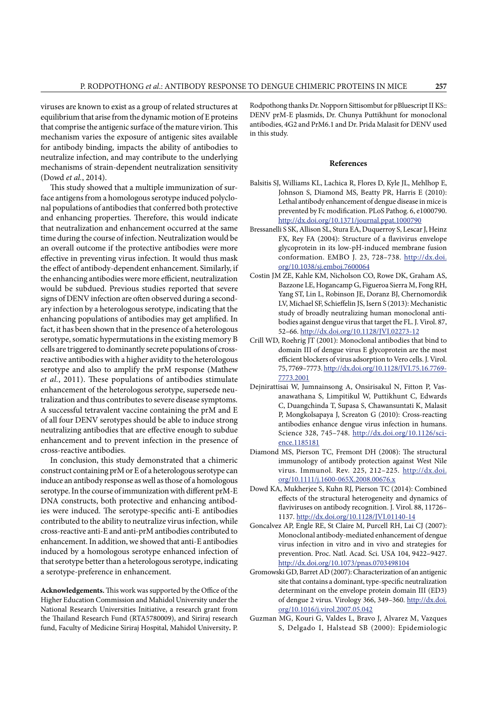viruses are known to exist as a group of related structures at equilibrium that arise from the dynamic motion of E proteins that comprise the antigenic surface of the mature virion. This mechanism varies the exposure of antigenic sites available for antibody binding, impacts the ability of antibodies to neutralize infection, and may contribute to the underlying mechanisms of strain-dependent neutralization sensitivity (Dowd *et al.*, 2014).

This study showed that a multiple immunization of surface antigens from a homologous serotype induced polyclonal populations of antibodies that conferred both protective and enhancing properties. Therefore, this would indicate that neutralization and enhancement occurred at the same time during the course of infection. Neutralization would be an overall outcome if the protective antibodies were more effective in preventing virus infection. It would thus mask the effect of antibody-dependent enhancement. Similarly, if the enhancing antibodies were more efficient, neutralization would be subdued. Previous studies reported that severe signs of DENV infection are often observed during a secondary infection by a heterologous serotype, indicating that the enhancing populations of antibodies may get amplified. In fact, it has been shown that in the presence of a heterologous serotype, somatic hypermutations in the existing memory B cells are triggered to dominantly secrete populations of crossreactive antibodies with a higher avidity to the heterologous serotype and also to amplify the prM response (Mathew *et al.*, 2011). These populations of antibodies stimulate enhancement of the heterologous serotype, supersede neutralization and thus contributes to severe disease symptoms. A successful tetravalent vaccine containing the prM and E of all four DENV serotypes should be able to induce strong neutralizing antibodies that are effective enough to subdue enhancement and to prevent infection in the presence of cross-reactive antibodies.

In conclusion, this study demonstrated that a chimeric construct containing prM or E of a heterologous serotype can induce an antibody response as well as those of a homologous serotype. In the course of immunization with different prM-E DNA constructs, both protective and enhancing antibodies were induced. The serotype-specific anti-E antibodies contributed to the ability to neutralize virus infection, while cross-reactive anti-E and anti-prM antibodies contributed to enhancement. In addition, we showed that anti-E antibodies induced by a homologous serotype enhanced infection of that serotype better than a heterologous serotype, indicating a serotype-preference in enhancement.

**Acknowledgements.** This work was supported by the Office of the Higher Education Commission and Mahidol University under the National Research Universities Initiative, a research grant from the Thailand Research Fund (RTA5780009), and Siriraj research fund, Faculty of Medicine Siriraj Hospital, Mahidol University**.** P.

Rodpothong thanks Dr. Nopporn Sittisombut for pBluescript II KS:: DENV prM-E plasmids, Dr. Chunya Puttikhunt for monoclonal antibodies, 4G2 and PrM6.1 and Dr. Prida Malasit for DENV used in this study.

### **References**

- Balsitis SJ, Williams KL, Lachica R, Flores D, Kyle JL, Mehlhop E, Johnson S, Diamond MS, Beatty PR, Harris E (2010): Lethal antibody enhancement of dengue disease in mice is prevented by Fc modification. PLoS Pathog. 6, e1000790. <http://dx.doi.org/10.1371/journal.ppat.1000790>
- Bressanelli S SK, Allison SL, Stura EA, Duquerroy S, Lescar J, Heinz FX, Rey FA (2004): Structure of a flavivirus envelope glycoprotein in its low-pH-induced membrane fusion conformation. EMBO J. 23, 728–738. [http://dx.doi.](http://dx.doi.org/10.1038/sj.emboj.7600064) [org/10.1038/sj.emboj.7600064](http://dx.doi.org/10.1038/sj.emboj.7600064)
- Costin JM ZE, Kahle KM, Nicholson CO, Rowe DK, Graham AS, Bazzone LE, Hogancamp G, Figueroa Sierra M, Fong RH, Yang ST, Lin L, Robinson JE, Doranz BJ, Chernomordik LV, Michael SF, Schieffelin JS, Isern S (2013): Mechanistic study of broadly neutralizing human monoclonal antibodies against dengue virus that target the FL. J. Virol. 87, 52–66.<http://dx.doi.org/10.1128/JVI.02273-12>
- Crill WD, Roehrig JT (2001): Monoclonal antibodies that bind to domain III of dengue virus E glycoprotein are the most efficient blockers of virus adsorption to Vero cells. J. Virol. 75, 7769–7773. [http://dx.doi.org/10.1128/JVI.75.16.7769-](http://dx.doi.org/10.1128/JVI.75.16.7769-7773.2001) [7773.2001](http://dx.doi.org/10.1128/JVI.75.16.7769-7773.2001)
- Dejnirattisai W, Jumnainsong A, Onsirisakul N, Fitton P, Vasanawathana S, Limpitikul W, Puttikhunt C, Edwards C, Duangchinda T, Supasa S, Chawansuntati K, Malasit P, Mongkolsapaya J, Screaton G (2010): Cross-reacting antibodies enhance dengue virus infection in humans. Science 328, 745–748. [http://dx.doi.org/10.1126/sci](http://dx.doi.org/10.1126/science.1185181)[ence.1185181](http://dx.doi.org/10.1126/science.1185181)
- Diamond MS, Pierson TC, Fremont DH (2008): The structural immunology of antibody protection against West Nile virus. Immunol. Rev. 225, 212–225. [http://dx.doi.](http://dx.doi.org/10.1111/j.1600-065X.2008.00676.x) [org/10.1111/j.1600-065X.2008.00676.x](http://dx.doi.org/10.1111/j.1600-065X.2008.00676.x)
- Dowd KA, Mukherjee S, Kuhn RJ, Pierson TC (2014): Combined effects of the structural heterogeneity and dynamics of flaviviruses on antibody recognition. J. Virol. 88, 11726– 1137. <http://dx.doi.org/10.1128/JVI.01140-14>
- Goncalvez AP, Engle RE, St Claire M, Purcell RH, Lai CJ (2007): Monoclonal antibody-mediated enhancement of dengue virus infection in vitro and in vivo and strategies for prevention. Proc. Natl. Acad. Sci. USA 104, 9422–9427. <http://dx.doi.org/10.1073/pnas.0703498104>
- Gromowski GD, Barret AD (2007): Characterization of an antigenic site that contains a dominant, type-specific neutralization determinant on the envelope protein domain III (ED3) of dengue 2 virus. Virology 366, 349–360. [http://dx.doi.](http://dx.doi.org/10.1016/j.virol.2007.05.042) [org/10.1016/j.virol.2007.05.042](http://dx.doi.org/10.1016/j.virol.2007.05.042)
- Guzman MG, Kouri G, Valdes L, Bravo J, Alvarez M, Vazques S, Delgado I, Halstead SB (2000): Epidemiologic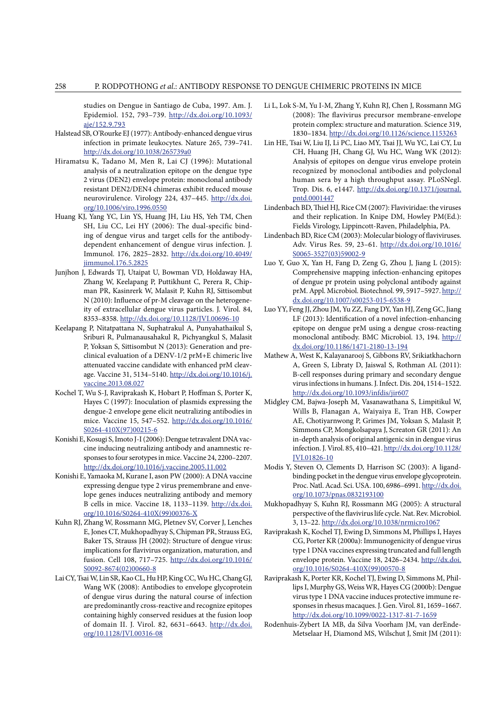studies on Dengue in Santiago de Cuba, 1997. Am. J. Epidemiol. 152, 793–739. [http://dx.doi.org/10.1093/](http://dx.doi.org/10.1093/aje/152.9.793) [aje/152.9.793](http://dx.doi.org/10.1093/aje/152.9.793)

- Halstead SB, O'Rourke EJ (1977): Antibody-enhanced dengue virus infection in primate leukocytes. Nature 265, 739–741. <http://dx.doi.org/10.1038/265739a0>
- Hiramatsu K, Tadano M, Men R, Lai CJ (1996): Mutational analysis of a neutralization epitope on the dengue type 2 virus (DEN2) envelope protein: monoclonal antibody resistant DEN2/DEN4 chimeras exhibit reduced mouse neurovirulence. Virology 224, 437–445. [http://dx.doi.](http://dx.doi.org/10.1006/viro.1996.0550) [org/10.1006/viro.1996.0550](http://dx.doi.org/10.1006/viro.1996.0550)
- Huang KJ, Yang YC, Lin YS, Huang JH, Liu HS, Yeh TM, Chen SH, Liu CC, Lei HY (2006): The dual-specific binding of dengue virus and target cells for the antibodydependent enhancement of dengue virus infection. J. Immunol. 176, 2825–2832. [http://dx.doi.org/10.4049/](http://dx.doi.org/10.4049/jimmunol.176.5.2825) [jimmunol.176.5.2825](http://dx.doi.org/10.4049/jimmunol.176.5.2825)
- Junjhon J, Edwards TJ, Utaipat U, Bowman VD, Holdaway HA, Zhang W, Keelapang P, Puttikhunt C, Perera R, Chipman PR, Kasinrerk W, Malasit P, Kuhn RJ, Sittisombut N (2010): Influence of pr-M cleavage on the heterogeneity of extracellular dengue virus particles. J. Virol. 84, 8353–8358. <http://dx.doi.org/10.1128/JVI.00696-10>
- Keelapang P, Nitatpattana N, Suphatrakul A, Punyahathaikul S, Sriburi R, Pulmanausahakul R, Pichyangkul S, Malasit P, Yoksan S, Sittisombut N (2013): Generation and preclinical evaluation of a DENV-1/2 prM+E chimeric live attenuated vaccine candidate with enhanced prM cleavage. Vaccine 31, 5134–5140. [http://dx.doi.org/10.1016/j.](http://dx.doi.org/10.1016/j.vaccine.2013.08.027) [vaccine.2013.08.027](http://dx.doi.org/10.1016/j.vaccine.2013.08.027)
- Kochel T, Wu S-J, Raviprakash K, Hobart P, Hoffman S, Porter K, Hayes C (1997): Inoculation of plasmids expressing the dengue-2 envelope gene elicit neutralizing antibodies in mice. Vaccine 15, 547–552. [http://dx.doi.org/10.1016/](http://dx.doi.org/10.1016/S0264-410X%2897%2900215-6) [S0264-410X\(97\)00215-6](http://dx.doi.org/10.1016/S0264-410X%2897%2900215-6)
- Konishi E, Kosugi S, Imoto J-I(2006): Dengue tetravalent DNA vaccine inducing neutralizing antibody and anamnestic responses to four serotypes in mice. Vaccine 24, 2200–2207. <http://dx.doi.org/10.1016/j.vaccine.2005.11.002>
- Konishi E, Yamaoka M, Kurane I, ason PW (2000): A DNA vaccine expressing dengue type 2 virus premembrane and envelope genes induces neutralizing antibody and memory B cells in mice. Vaccine 18, 1133–1139. [http://dx.doi.](http://dx.doi.org/10.1016/S0264-410X%2899%2900376-X) [org/10.1016/S0264-410X\(99\)00376-X](http://dx.doi.org/10.1016/S0264-410X%2899%2900376-X)
- Kuhn RJ, Zhang W, Rossmann MG, Pletnev SV, Corver J, Lenches E, Jones CT, Mukhopadhyay S, Chipman PR, Strauss EG, Baker TS, Strauss JH (2002): Structure of dengue virus: implications for flavivirus organization, maturation, and fusion. Cell 108, 717–725. [http://dx.doi.org/10.1016/](http://dx.doi.org/10.1016/S0092-8674%2802%2900660-8) [S0092-8674\(02\)00660-8](http://dx.doi.org/10.1016/S0092-8674%2802%2900660-8)
- Lai CY, Tsai W, Lin SR, Kao CL, Hu HP, King CC, Wu HC, Chang GJ, Wang WK (2008): Antibodies to envelope glycoprotein of dengue virus during the natural course of infection are predominantly cross-reactive and recognize epitopes containing highly conserved residues at the fusion loop of domain II. J. Virol. 82, 6631–6643. [http://dx.doi.](http://dx.doi.org/10.1128/JVI.00316-08) [org/10.1128/JVI.00316-08](http://dx.doi.org/10.1128/JVI.00316-08)
- Li L, Lok S-M, Yu I-M, Zhang Y, Kuhn RJ, Chen J, Rossmann MG (2008): The flavivirus precursor membrane-envelope protein complex: structure and maturation. Science 319, 1830–1834. <http://dx.doi.org/10.1126/science.1153263>
- Lin HE, Tsai W, Liu IJ, Li PC, Liao MY, Tsai JJ, Wu YC, Lai CY, Lu CH, Huang JH, Chang GJ, Wu HC, Wang WK (2012): Analysis of epitopes on dengue virus envelope protein recognized by monoclonal antibodies and polyclonal human sera by a high throughput assay. PLoSNegl. Trop. Dis. 6, e1447. [http://dx.doi.org/10.1371/journal.](http://dx.doi.org/10.1371/journal.pntd.0001447) [pntd.0001447](http://dx.doi.org/10.1371/journal.pntd.0001447)
- Lindenbach BD, Thiel HJ, Rice CM (2007): Flaviviridae: the viruses and their replication. In Knipe DM, Howley PM(Ed.): Fields Virology, Lippincott-Raven, Philadelphia, PA.
- Lindenbach BD, Rice CM (2003): Molecular biology of flaviviruses. Adv. Virus Res. 59, 23–61. [http://dx.doi.org/10.1016/](http://dx.doi.org/10.1016/S0065-3527%2803%2959002-9) [S0065-3527\(03\)59002-9](http://dx.doi.org/10.1016/S0065-3527%2803%2959002-9)
- Luo Y, Guo X, Yan H, Fang D, Zeng G, Zhou J, Jiang L (2015): Comprehensive mapping infection-enhancing epitopes of dengue pr protein using polyclonal antibody against prM. Appl. Microbiol. Biotechnol. 99, 5917–5927. [http://](http://dx.doi.org/10.1007/s00253-015-6538-9) [dx.doi.org/10.1007/s00253-015-6538-9](http://dx.doi.org/10.1007/s00253-015-6538-9)
- Luo YY, Feng JJ, Zhou JM, Yu ZZ, Fang DY, Yan HJ, Zeng GC, Jiang LF (2013): Identification of a novel infection-enhancing epitope on dengue prM using a dengue cross-reacting monoclonal antibody. BMC Microbiol. 13, 194. [http://](http://dx.doi.org/10.1186/1471-2180-13-194) [dx.doi.org/10.1186/1471-2180-13-194](http://dx.doi.org/10.1186/1471-2180-13-194)
- Mathew A, West K, Kalayanarooj S, Gibbons RV, Srikiatkhachorn A, Green S, Libraty D, Jaiswal S, Rothman AL (2011): B-cell responses during primary and secondary dengue virus infections in humans. J. Infect. Dis. 204, 1514–1522. <http://dx.doi.org/10.1093/infdis/jir607>
- Midgley CM, Bajwa-Joseph M, Vasanawathana S, Limpitikul W, Wills B, Flanagan A, Waiyaiya E, Tran HB, Cowper AE, Chotiyarnwong P, Grimes JM, Yoksan S, Malasit P, Simmons CP, Mongkolsapaya J, Screaton GR (2011): An in-depth analysis of original antigenic sin in dengue virus infection. J. Virol. 85, 410–421. [http://dx.doi.org/10.1128/](http://dx.doi.org/10.1128/JVI.01826-10) [JVI.01826-10](http://dx.doi.org/10.1128/JVI.01826-10)
- Modis Y, Steven O, Clements D, Harrison SC (2003): A ligandbinding pocket in the dengue virus envelope glycoprotein. Proc. Natl. Acad. Sci. USA. 100, 6986–6991. [http://dx.doi.](http://dx.doi.org/10.1073/pnas.0832193100) [org/10.1073/pnas.0832193100](http://dx.doi.org/10.1073/pnas.0832193100)
- Mukhopadhyay S, Kuhn RJ, Rossmann MG (2005): A structural perspective of the flavivirus life cycle. Nat. Rev. Microbiol. 3, 13–22. <http://dx.doi.org/10.1038/nrmicro1067>
- Raviprakash K, Kochel TJ, Ewing D, Simmons M, Phillips I, Hayes CG, Porter KR (2000a): Immunogenicity of dengue virus type 1 DNA vaccines expressing truncated and full length envelope protein. Vaccine 18, 2426–2434. [http://dx.doi.](http://dx.doi.org/10.1016/S0264-410X%2899%2900570-8) [org/10.1016/S0264-410X\(99\)00570-8](http://dx.doi.org/10.1016/S0264-410X%2899%2900570-8)
- Raviprakash K, Porter KR, Kochel TJ, Ewing D, Simmons M, Phillips I, Murphy GS, Weiss WR, Hayes CG (2000b): Dengue virus type 1 DNA vaccine induces protective immune responses in rhesus macaques. J. Gen. Virol. 81, 1659–1667. <http://dx.doi.org/10.1099/0022-1317-81-7-1659>
- Rodenhuis-Zybert IA MB, da Silva Voorham JM, van derEnde-Metselaar H, Diamond MS, Wilschut J, Smit JM (2011):